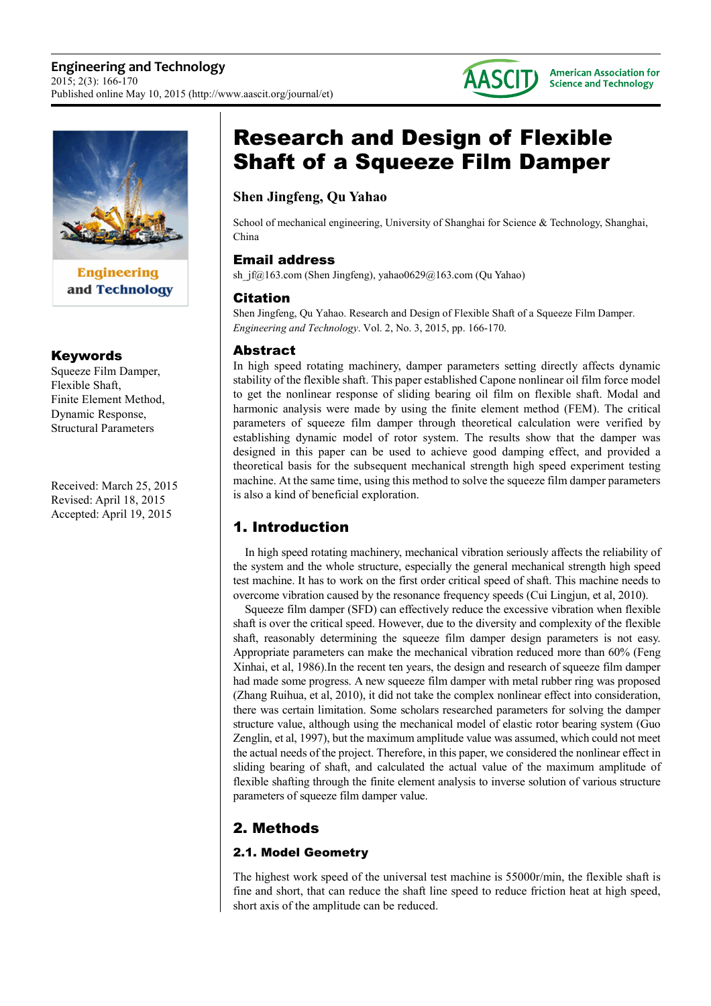



**Engineering** and Technology

## Keywords

Squeeze Film Damper, Flexible Shaft, Finite Element Method, Dynamic Response, Structural Parameters

Received: March 25, 2015 Revised: April 18, 2015 Accepted: April 19, 2015

# Research and Design of Flexible Shaft of a Squeeze Film Damper

## **Shen Jingfeng, Qu Yahao**

School of mechanical engineering, University of Shanghai for Science & Technology, Shanghai, China

## Email address

sh jf@163.com (Shen Jingfeng), yahao0629@163.com (Qu Yahao)

## Citation

Shen Jingfeng, Qu Yahao. Research and Design of Flexible Shaft of a Squeeze Film Damper. *Engineering and Technology*. Vol. 2, No. 3, 2015, pp. 166-170.

## Abstract

In high speed rotating machinery, damper parameters setting directly affects dynamic stability of the flexible shaft. This paper established Capone nonlinear oil film force model to get the nonlinear response of sliding bearing oil film on flexible shaft. Modal and harmonic analysis were made by using the finite element method (FEM). The critical parameters of squeeze film damper through theoretical calculation were verified by establishing dynamic model of rotor system. The results show that the damper was designed in this paper can be used to achieve good damping effect, and provided a theoretical basis for the subsequent mechanical strength high speed experiment testing machine. At the same time, using this method to solve the squeeze film damper parameters is also a kind of beneficial exploration.

# 1. Introduction

In high speed rotating machinery, mechanical vibration seriously affects the reliability of the system and the whole structure, especially the general mechanical strength high speed test machine. It has to work on the first order critical speed of shaft. This machine needs to overcome vibration caused by the resonance frequency speeds (Cui Lingjun, et al, 2010).

Squeeze film damper (SFD) can effectively reduce the excessive vibration when flexible shaft is over the critical speed. However, due to the diversity and complexity of the flexible shaft, reasonably determining the squeeze film damper design parameters is not easy. Appropriate parameters can make the mechanical vibration reduced more than 60% (Feng Xinhai, et al, 1986).In the recent ten years, the design and research of squeeze film damper had made some progress. A new squeeze film damper with metal rubber ring was proposed (Zhang Ruihua, et al, 2010), it did not take the complex nonlinear effect into consideration, there was certain limitation. Some scholars researched parameters for solving the damper structure value, although using the mechanical model of elastic rotor bearing system (Guo Zenglin, et al, 1997), but the maximum amplitude value was assumed, which could not meet the actual needs of the project. Therefore, in this paper, we considered the nonlinear effect in sliding bearing of shaft, and calculated the actual value of the maximum amplitude of flexible shafting through the finite element analysis to inverse solution of various structure parameters of squeeze film damper value.

# 2. Methods

## 2.1. Model Geometry

The highest work speed of the universal test machine is 55000r/min, the flexible shaft is fine and short, that can reduce the shaft line speed to reduce friction heat at high speed, short axis of the amplitude can be reduced.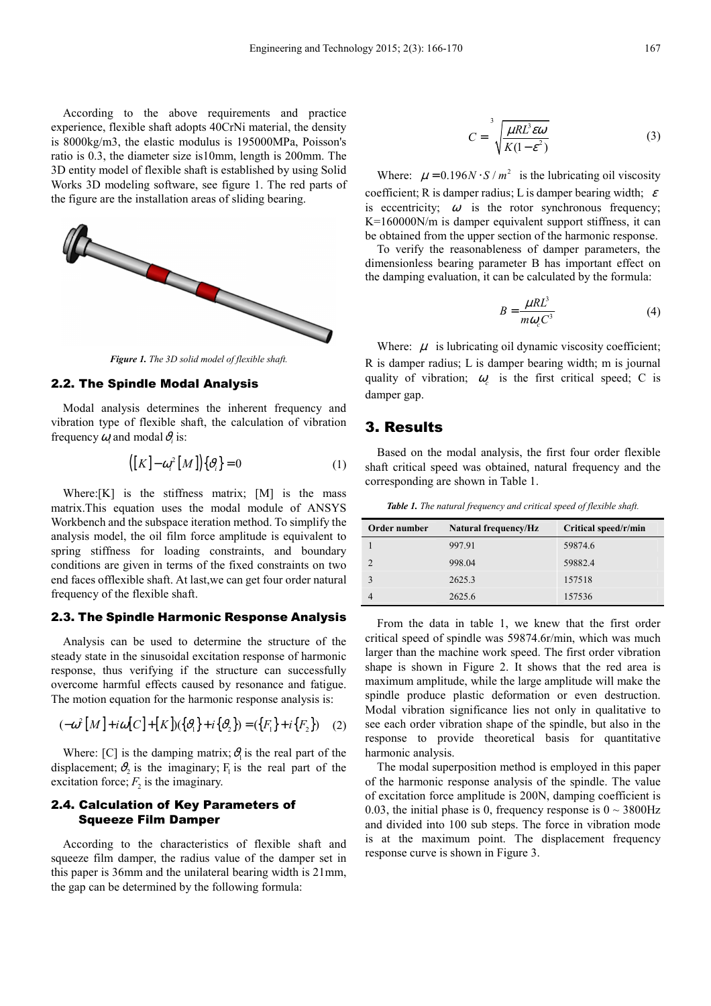According to the above requirements and practice experience, flexible shaft adopts 40CrNi material, the density is 8000kg/m3, the elastic modulus is 195000MPa, Poisson's ratio is 0.3, the diameter size is10mm, length is 200mm. The 3D entity model of flexible shaft is established by using Solid Works 3D modeling software, see figure 1. The red parts of the figure are the installation areas of sliding bearing.



*Figure 1. The 3D solid model of flexible shaft.* 

#### 2.2. The Spindle Modal Analysis

Modal analysis determines the inherent frequency and vibration type of flexible shaft, the calculation of vibration frequency  $\omega_i$  and modal  $\vartheta_i$  is:

$$
([K] - \omega_i^2 [M]) \{v_i\} = 0 \tag{1}
$$

Where:[K] is the stiffness matrix; [M] is the mass matrix.This equation uses the modal module of ANSYS Workbench and the subspace iteration method. To simplify the analysis model, the oil film force amplitude is equivalent to spring stiffness for loading constraints, and boundary conditions are given in terms of the fixed constraints on two end faces offlexible shaft. At last,we can get four order natural frequency of the flexible shaft.

#### 2.3. The Spindle Harmonic Response Analysis

Analysis can be used to determine the structure of the steady state in the sinusoidal excitation response of harmonic response, thus verifying if the structure can successfully overcome harmful effects caused by resonance and fatigue. The motion equation for the harmonic response analysis is:

$$
(-\omega^2 [M] + i\omega [C] + [K])({\lbrace \partial_1 \rbrace} + i{\lbrace \partial_2 \rbrace}) = ({\lbrace F_1 \rbrace} + i{\lbrace F_2 \rbrace})
$$
 (2)

Where: [C] is the damping matrix;  $v_1^{\delta}$  is the real part of the displacement;  $\vartheta_2$  is the imaginary;  $F_1$  is the real part of the excitation force;  $F_2$  is the imaginary.

#### 2.4. Calculation of Key Parameters of Squeeze Film Damper

According to the characteristics of flexible shaft and squeeze film damper, the radius value of the damper set in this paper is 36mm and the unilateral bearing width is 21mm, the gap can be determined by the following formula:

$$
C = \sqrt[3]{\frac{\mu R L^3 \varepsilon \omega}{K(1 - \varepsilon^2)}}
$$
 (3)

Where:  $\mu = 0.196 N \cdot S / m^2$  is the lubricating oil viscosity coefficient; R is damper radius; L is damper bearing width;  $\varepsilon$ is eccentricity;  $\omega$  is the rotor synchronous frequency; K=160000N/m is damper equivalent support stiffness, it can be obtained from the upper section of the harmonic response.

To verify the reasonableness of damper parameters, the dimensionless bearing parameter B has important effect on the damping evaluation, it can be calculated by the formula:

$$
B = \frac{\mu R L^3}{m \omega_c C^3} \tag{4}
$$

Where:  $\mu$  is lubricating oil dynamic viscosity coefficient; R is damper radius; L is damper bearing width; m is journal quality of vibration;  $\omega_c$  is the first critical speed; C is damper gap.

### 3. Results

Based on the modal analysis, the first four order flexible shaft critical speed was obtained, natural frequency and the corresponding are shown in Table 1.

*Table 1. The natural frequency and critical speed of flexible shaft.* 

| Order number | <b>Natural frequency/Hz</b> | Critical speed/r/min |
|--------------|-----------------------------|----------------------|
|              | 997.91                      | 59874.6              |
|              | 998.04                      | 59882.4              |
|              | 2625.3                      | 157518               |
|              | 2625.6                      | 157536               |

From the data in table 1, we knew that the first order critical speed of spindle was 59874.6r/min, which was much larger than the machine work speed. The first order vibration shape is shown in Figure 2. It shows that the red area is maximum amplitude, while the large amplitude will make the spindle produce plastic deformation or even destruction. Modal vibration significance lies not only in qualitative to see each order vibration shape of the spindle, but also in the response to provide theoretical basis for quantitative harmonic analysis.

The modal superposition method is employed in this paper of the harmonic response analysis of the spindle. The value of excitation force amplitude is 200N, damping coefficient is 0.03, the initial phase is 0, frequency response is  $0 \sim 3800 \text{Hz}$ and divided into 100 sub steps. The force in vibration mode is at the maximum point. The displacement frequency response curve is shown in Figure 3.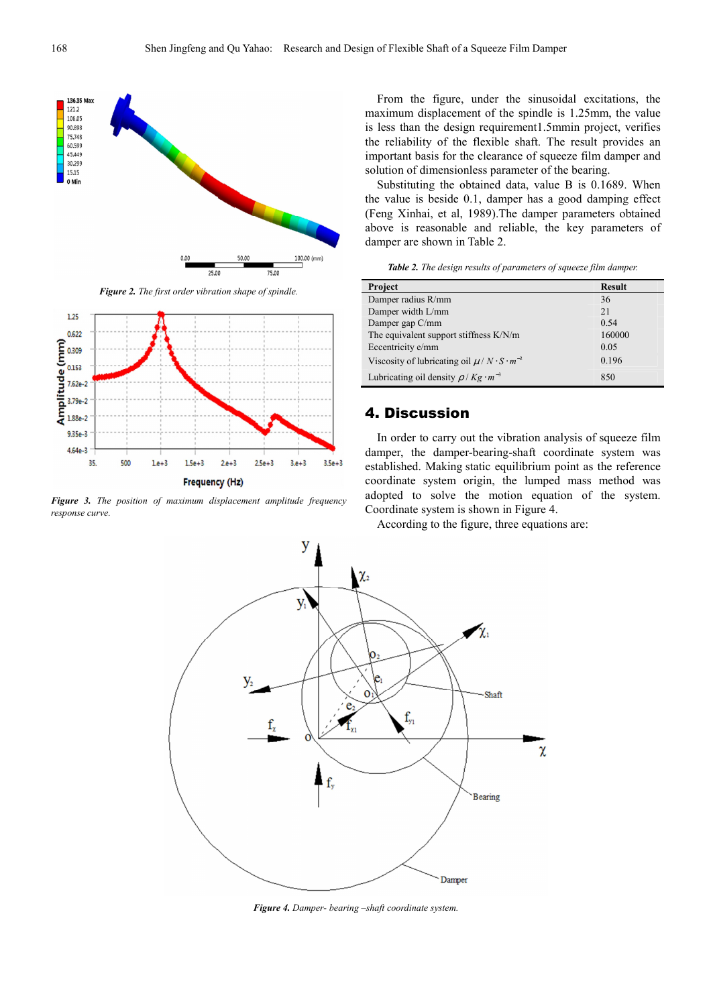

*Figure 2. The first order vibration shape of spindle.* 



*Figure 3. The position of maximum displacement amplitude frequency response curve.* 

From the figure, under the sinusoidal excitations, the maximum displacement of the spindle is 1.25mm, the value is less than the design requirement1.5mmin project, verifies the reliability of the flexible shaft. The result provides an important basis for the clearance of squeeze film damper and solution of dimensionless parameter of the bearing.

Substituting the obtained data, value B is 0.1689. When the value is beside 0.1, damper has a good damping effect (Feng Xinhai, et al, 1989).The damper parameters obtained above is reasonable and reliable, the key parameters of damper are shown in Table 2.

*Table 2. The design results of parameters of squeeze film damper.* 

| Project                                                     | <b>Result</b> |
|-------------------------------------------------------------|---------------|
| Damper radius R/mm                                          | 36            |
| Damper width L/mm                                           | 21            |
| Damper gap C/mm                                             | 0.54          |
| The equivalent support stiffness K/N/m                      | 160000        |
| Eccentricity e/mm                                           | 0.05          |
| Viscosity of lubricating oil $\mu / N \cdot S \cdot m^{-2}$ | 0.196         |
| Lubricating oil density $\rho$ / Kg $\cdot m^{-3}$          | 850           |

#### 4. Discussion

In order to carry out the vibration analysis of squeeze film damper, the damper-bearing-shaft coordinate system was established. Making static equilibrium point as the reference coordinate system origin, the lumped mass method was adopted to solve the motion equation of the system. Coordinate system is shown in Figure 4.

According to the figure, three equations are:



*Figure 4. Damper- bearing –shaft coordinate system.*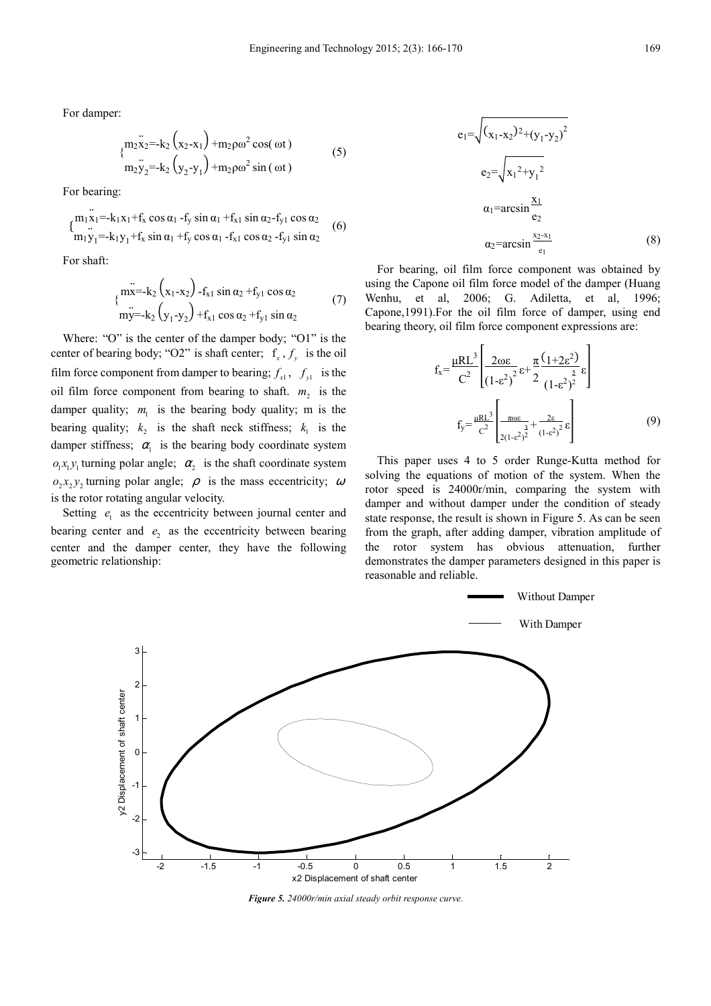For damper:

$$
\begin{array}{l}\n\sum_{1}^{3} x_{2}^{2} = -k_{2} \left( x_{2} - x_{1} \right) + m_{2} \rho \omega^{2} \cos(\omega t) \\
\sum_{1}^{3} y_{2}^{2} = -k_{2} \left( y_{2} - y_{1} \right) + m_{2} \rho \omega^{2} \sin(\omega t)\n\end{array} \tag{5}
$$

For bearing:

$$
\begin{cases}\n\frac{m_1 x_1 - k_1 x_1 + f_x \cos \alpha_1 - f_y \sin \alpha_1 + f_{x1} \sin \alpha_2 - f_{y1} \cos \alpha_2}{m_1 y_1 - k_1 y_1 + f_x \sin \alpha_1 + f_y \cos \alpha_1 - f_{x1} \cos \alpha_2 - f_{y1} \sin \alpha_2}\n\end{cases} (6)
$$

For shaft:

$$
\begin{array}{l}\n\text{m } x = -k_2 \left( x_1 - x_2 \right) - f_{x1} \sin \alpha_2 + f_{y1} \cos \alpha_2 \\
\text{m } y = -k_2 \left( y_1 - y_2 \right) + f_{x1} \cos \alpha_2 + f_{y1} \sin \alpha_2\n\end{array} \tag{7}
$$

Where: "O" is the center of the damper body; "O1" is the center of bearing body; "O2" is shaft center;  $f_x$ ,  $f_y$  is the oil film force component from damper to bearing;  $f_{x1}$ ,  $f_{y1}$  is the oil film force component from bearing to shaft.  $m_2$  is the damper quality;  $m_1$  is the bearing body quality; m is the bearing quality;  $k_2$  is the shaft neck stiffness;  $k_1$  is the damper stiffness;  $\alpha_1$  is the bearing body coordinate system  $o_1x_1y_1$  turning polar angle;  $\alpha_2$  is the shaft coordinate system  $\partial_2 x_2 y_2$  turning polar angle;  $\rho$  is the mass eccentricity;  $\omega$ is the rotor rotating angular velocity.

Setting  $e_1$  as the eccentricity between journal center and bearing center and  $e_2$  as the eccentricity between bearing center and the damper center, they have the following geometric relationship:

$$
e_{1} = \sqrt{(x_{1} - x_{2})^{2} + (y_{1} - y_{2})^{2}}
$$
  
\n
$$
e_{2} = \sqrt{x_{1}^{2} + y_{1}^{2}}
$$
  
\n
$$
\alpha_{1} = \arcsin \frac{x_{1}}{e_{2}}
$$
  
\n
$$
\alpha_{2} = \arcsin \frac{x_{2} - x_{1}}{e_{1}}
$$
 (8)

For bearing, oil film force component was obtained by using the Capone oil film force model of the damper (Huang Wenhu, et al, 2006; G. Adiletta, et al, 1996; Capone,1991).For the oil film force of damper, using end bearing theory, oil film force component expressions are:

$$
f_x = \frac{\mu R L^3}{C^2} \left[ \frac{2\omega \epsilon}{(1-\epsilon^2)^2} \epsilon + \frac{\pi}{2} \frac{(1+2\epsilon^2)}{(1-\epsilon^2)^2} \epsilon \right]
$$
  

$$
f_y = \frac{\mu R L^3}{C^2} \left[ \frac{\pi \omega \epsilon}{2(1-\epsilon^2)^2} + \frac{2\epsilon}{(1-\epsilon^2)^2} \epsilon \right]
$$
(9)

This paper uses 4 to 5 order Runge-Kutta method for solving the equations of motion of the system. When the rotor speed is 24000r/min, comparing the system with damper and without damper under the condition of steady state response, the result is shown in Figure 5. As can be seen from the graph, after adding damper, vibration amplitude of the rotor system has obvious attenuation, further demonstrates the damper parameters designed in this paper is reasonable and reliable.



*Figure 5. 24000r/min axial steady orbit response curve.*